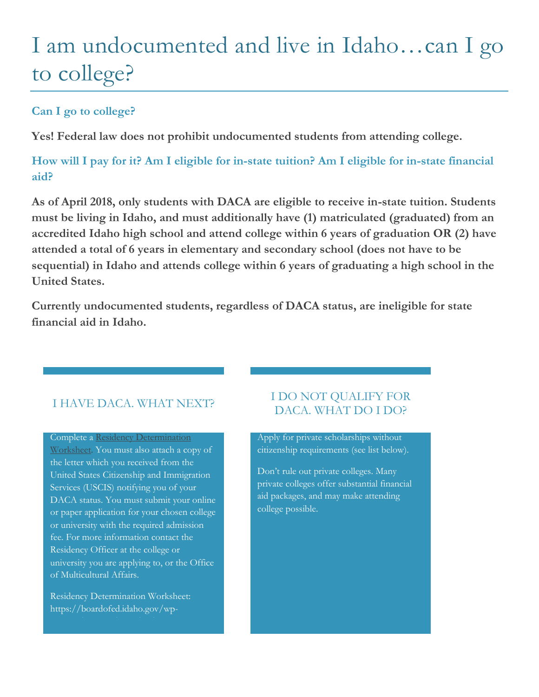# I am undocumented and live in Idaho…can I go to college?

## **Can I go to college?**

**Yes! Federal law does not prohibit undocumented students from attending college.**

**How will I pay for it? Am I eligible for in-state tuition? Am I eligible for in-state financial aid?**

**As of April 2018, only students with DACA are eligible to receive in-state tuition. Students must be living in Idaho, and must additionally have (1) matriculated (graduated) from an accredited Idaho high school and attend college within 6 years of graduation OR (2) have attended a total of 6 years in elementary and secondary school (does not have to be sequential) in Idaho and attends college within 6 years of graduating a high school in the United States.** 

**Currently undocumented students, regardless of DACA status, are ineligible for state financial aid in Idaho.**

## I HAVE DACA. WHAT NEXT?

Complete [a Residency Determination](https://boardofed.idaho.gov/wp-content/uploads/2017/03/Residency20Determination20Worksheet2020062021202016.pdf)  [Worksheet.](https://boardofed.idaho.gov/wp-content/uploads/2017/03/Residency20Determination20Worksheet2020062021202016.pdf) You must also attach a copy of the letter which you received from the United States Citizenship and Immigration Services (USCIS) notifying you of your DACA status. You must submit your online or paper application for your chosen college or university with the required admission fee. For more information contact the Residency Officer at the college or university you are applying to, or the Office of Multicultural Affairs.

Residency Determination Worksheet: https://boardofed.idaho.gov/wp-

#### I DO NOT QUALIFY FOR DACA. WHAT DO I DO?

Apply for private scholarships without citizenship requirements (see list below).

Don't rule out private colleges. Many private colleges offer substantial financial aid packages, and may make attending college possible.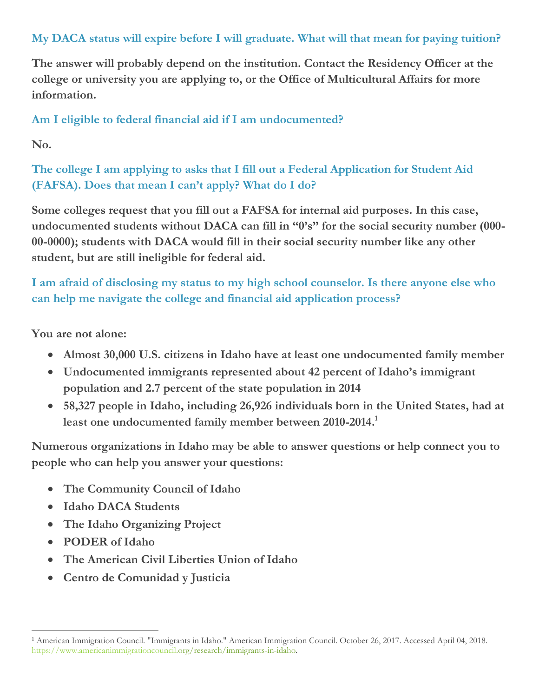## **My DACA status will expire before I will graduate. What will that mean for paying tuition?**

**The answer will probably depend on the institution. Contact the Residency Officer at the college or university you are applying to, or the Office of Multicultural Affairs for more information.** 

#### **Am I eligible to federal financial aid if I am undocumented?**

**No.**

## **The college I am applying to asks that I fill out a Federal Application for Student Aid (FAFSA). Does that mean I can't apply? What do I do?**

**Some colleges request that you fill out a FAFSA for internal aid purposes. In this case, undocumented students without DACA can fill in "0's" for the social security number (000- 00-0000); students with DACA would fill in their social security number like any other student, but are still ineligible for federal aid.**

**I am afraid of disclosing my status to my high school counselor. Is there anyone else who can help me navigate the college and financial aid application process?**

**You are not alone:** 

- **Almost 30,000 U.S. citizens in Idaho have at least one undocumented family member**
- **Undocumented immigrants represented about 42 percent of Idaho's immigrant population and 2.7 percent of the state population in 2014**
- **58,327 people in Idaho, including 26,926 individuals born in the United States, had at least one undocumented family member between 2010-2014. 1**

**Numerous organizations in Idaho may be able to answer questions or help connect you to people who can help you answer your questions:**

- **The Community Council of Idaho**
- **Idaho DACA Students**
- **The Idaho Organizing Project**
- **PODER of Idaho**
- **The American Civil Liberties Union of Idaho**
- **Centro de Comunidad y Justicia**

 $\overline{a}$ <sup>1</sup> American Immigration Council. "Immigrants in Idaho." American Immigration Council. October 26, 2017. Accessed April 04, 2018. [https://www.americanimmigrationcouncil.org/research/immigrants-in-idaho.](https://www.americanimmigrationcouncil.org/research/immigrants-in-idaho)